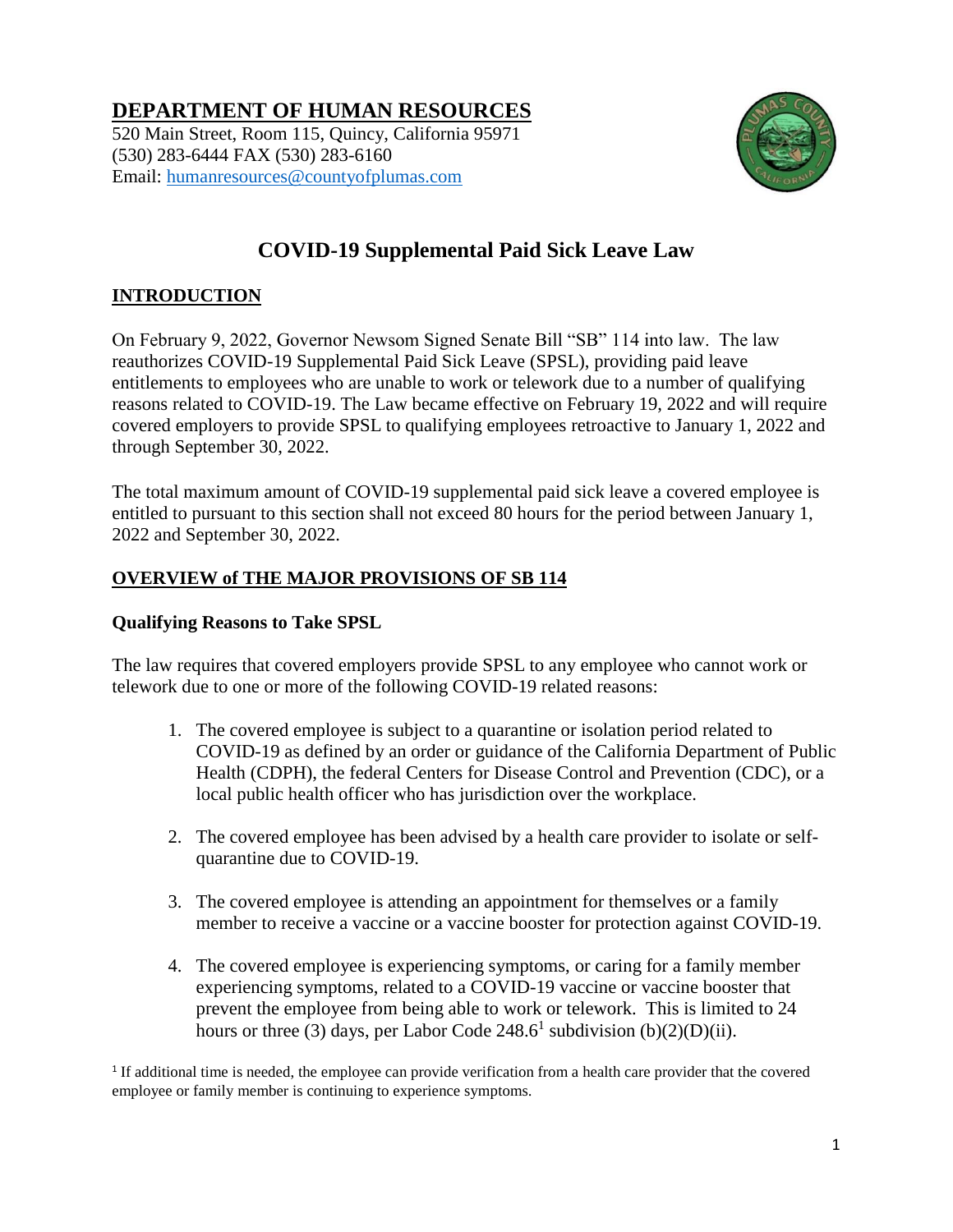# **DEPARTMENT OF HUMAN RESOURCES**

520 Main Street, Room 115, Quincy, California 95971 (530) 283-6444 FAX (530) 283-6160 Email: [humanresources@countyofplumas.com](mailto:humanresources@countyofplumas.com)



# **COVID-19 Supplemental Paid Sick Leave Law**

# **INTRODUCTION**

On February 9, 2022, Governor Newsom Signed Senate Bill "SB" 114 into law. The law reauthorizes COVID-19 Supplemental Paid Sick Leave (SPSL), providing paid leave entitlements to employees who are unable to work or telework due to a number of qualifying reasons related to COVID-19. The Law became effective on February 19, 2022 and will require covered employers to provide SPSL to qualifying employees retroactive to January 1, 2022 and through September 30, 2022.

The total maximum amount of COVID-19 supplemental paid sick leave a covered employee is entitled to pursuant to this section shall not exceed 80 hours for the period between January 1, 2022 and September 30, 2022.

# **OVERVIEW of THE MAJOR PROVISIONS OF SB 114**

## **Qualifying Reasons to Take SPSL**

The law requires that covered employers provide SPSL to any employee who cannot work or telework due to one or more of the following COVID-19 related reasons:

- 1. The covered employee is subject to a quarantine or isolation period related to COVID-19 as defined by an order or guidance of the California Department of Public Health (CDPH), the federal Centers for Disease Control and Prevention (CDC), or a local public health officer who has jurisdiction over the workplace.
- 2. The covered employee has been advised by a health care provider to isolate or selfquarantine due to COVID-19.
- 3. The covered employee is attending an appointment for themselves or a family member to receive a vaccine or a vaccine booster for protection against COVID-19.
- 4. The covered employee is experiencing symptoms, or caring for a family member experiencing symptoms, related to a COVID-19 vaccine or vaccine booster that prevent the employee from being able to work or telework. This is limited to 24 hours or three (3) days, per Labor Code  $248.6^1$  subdivision (b)(2)(D)(ii).

<sup>1</sup> If additional time is needed, the employee can provide verification from a health care provider that the covered employee or family member is continuing to experience symptoms.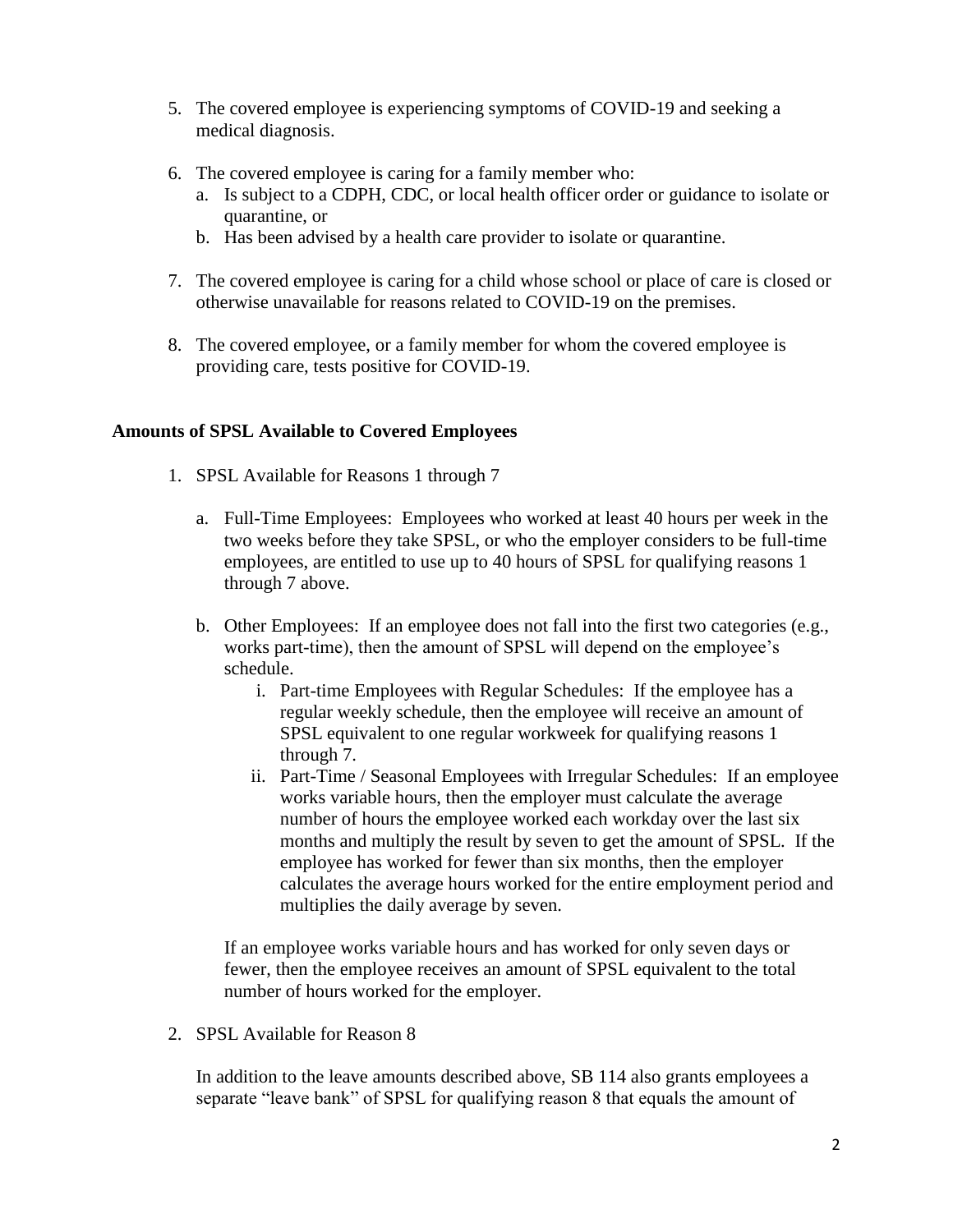- 5. The covered employee is experiencing symptoms of COVID-19 and seeking a medical diagnosis.
- 6. The covered employee is caring for a family member who:
	- a. Is subject to a CDPH, CDC, or local health officer order or guidance to isolate or quarantine, or
	- b. Has been advised by a health care provider to isolate or quarantine.
- 7. The covered employee is caring for a child whose school or place of care is closed or otherwise unavailable for reasons related to COVID-19 on the premises.
- 8. The covered employee, or a family member for whom the covered employee is providing care, tests positive for COVID-19.

#### **Amounts of SPSL Available to Covered Employees**

- 1. SPSL Available for Reasons 1 through 7
	- a. Full-Time Employees: Employees who worked at least 40 hours per week in the two weeks before they take SPSL, or who the employer considers to be full-time employees, are entitled to use up to 40 hours of SPSL for qualifying reasons 1 through 7 above.
	- b. Other Employees: If an employee does not fall into the first two categories (e.g., works part-time), then the amount of SPSL will depend on the employee's schedule.
		- i. Part-time Employees with Regular Schedules: If the employee has a regular weekly schedule, then the employee will receive an amount of SPSL equivalent to one regular workweek for qualifying reasons 1 through 7.
		- ii. Part-Time / Seasonal Employees with Irregular Schedules: If an employee works variable hours, then the employer must calculate the average number of hours the employee worked each workday over the last six months and multiply the result by seven to get the amount of SPSL. If the employee has worked for fewer than six months, then the employer calculates the average hours worked for the entire employment period and multiplies the daily average by seven.

If an employee works variable hours and has worked for only seven days or fewer, then the employee receives an amount of SPSL equivalent to the total number of hours worked for the employer.

2. SPSL Available for Reason 8

In addition to the leave amounts described above, SB 114 also grants employees a separate "leave bank" of SPSL for qualifying reason 8 that equals the amount of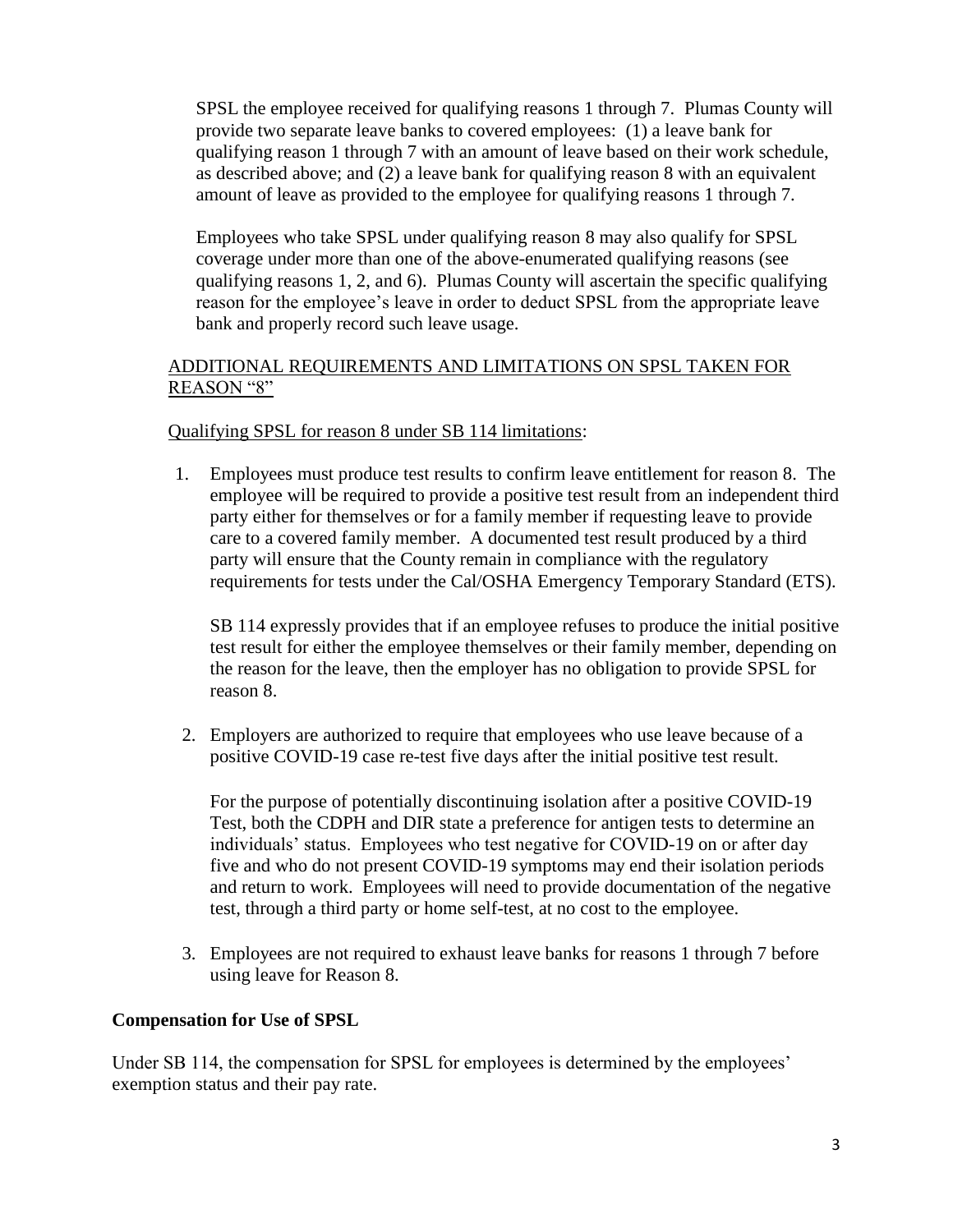SPSL the employee received for qualifying reasons 1 through 7. Plumas County will provide two separate leave banks to covered employees: (1) a leave bank for qualifying reason 1 through 7 with an amount of leave based on their work schedule, as described above; and (2) a leave bank for qualifying reason 8 with an equivalent amount of leave as provided to the employee for qualifying reasons 1 through 7.

Employees who take SPSL under qualifying reason 8 may also qualify for SPSL coverage under more than one of the above-enumerated qualifying reasons (see qualifying reasons 1, 2, and 6). Plumas County will ascertain the specific qualifying reason for the employee's leave in order to deduct SPSL from the appropriate leave bank and properly record such leave usage.

## ADDITIONAL REQUIREMENTS AND LIMITATIONS ON SPSL TAKEN FOR REASON "8"

## Qualifying SPSL for reason 8 under SB 114 limitations:

1. Employees must produce test results to confirm leave entitlement for reason 8. The employee will be required to provide a positive test result from an independent third party either for themselves or for a family member if requesting leave to provide care to a covered family member. A documented test result produced by a third party will ensure that the County remain in compliance with the regulatory requirements for tests under the Cal/OSHA Emergency Temporary Standard (ETS).

SB 114 expressly provides that if an employee refuses to produce the initial positive test result for either the employee themselves or their family member, depending on the reason for the leave, then the employer has no obligation to provide SPSL for reason 8.

2. Employers are authorized to require that employees who use leave because of a positive COVID-19 case re-test five days after the initial positive test result.

For the purpose of potentially discontinuing isolation after a positive COVID-19 Test, both the CDPH and DIR state a preference for antigen tests to determine an individuals' status. Employees who test negative for COVID-19 on or after day five and who do not present COVID-19 symptoms may end their isolation periods and return to work. Employees will need to provide documentation of the negative test, through a third party or home self-test, at no cost to the employee.

3. Employees are not required to exhaust leave banks for reasons 1 through 7 before using leave for Reason 8.

## **Compensation for Use of SPSL**

Under SB 114, the compensation for SPSL for employees is determined by the employees' exemption status and their pay rate.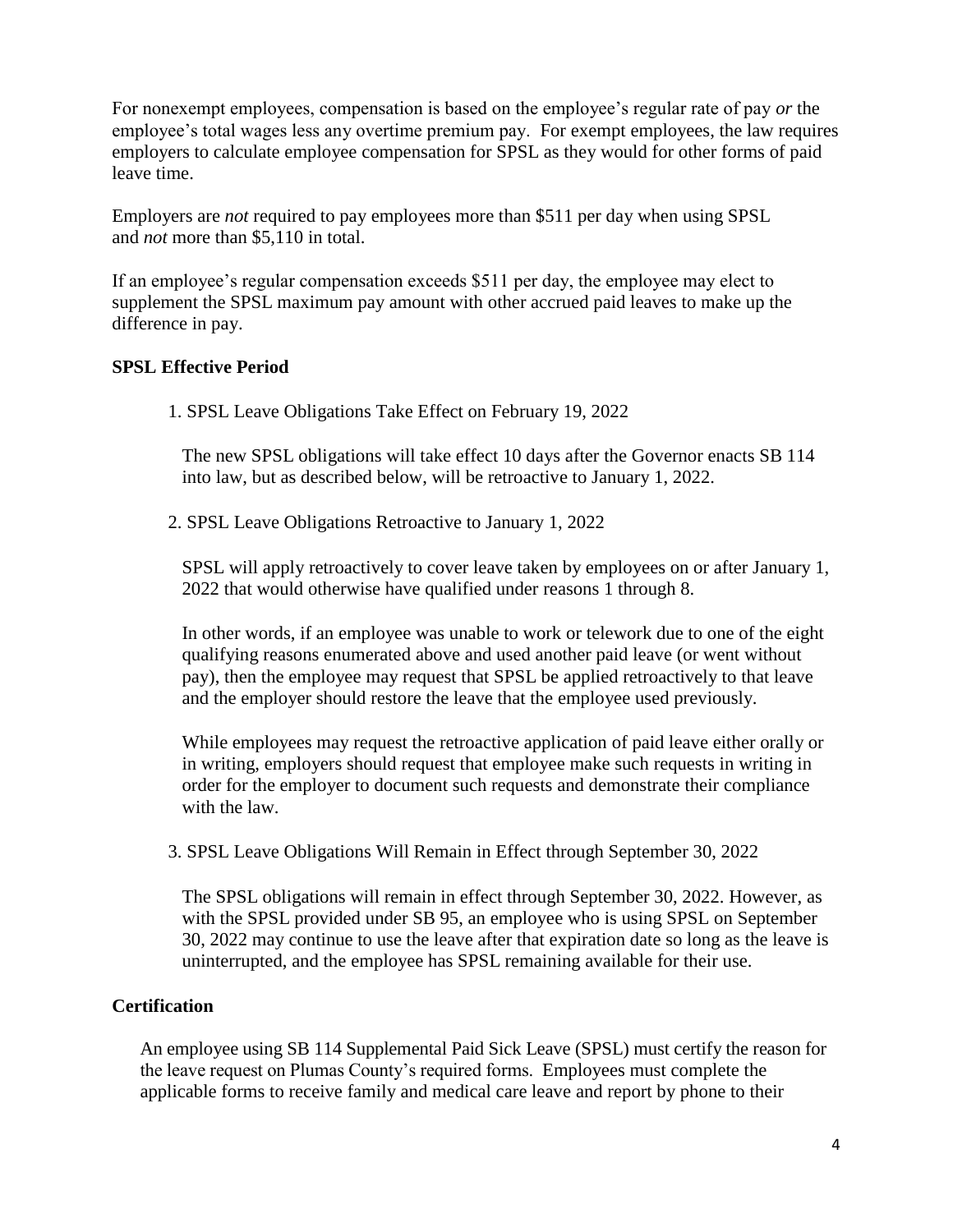For nonexempt employees, compensation is based on the employee's regular rate of pay *or* the employee's total wages less any overtime premium pay. For exempt employees, the law requires employers to calculate employee compensation for SPSL as they would for other forms of paid leave time.

Employers are *not* required to pay employees more than \$511 per day when using SPSL and *not* more than \$5,110 in total.

If an employee's regular compensation exceeds \$511 per day, the employee may elect to supplement the SPSL maximum pay amount with other accrued paid leaves to make up the difference in pay.

#### **SPSL Effective Period**

1. SPSL Leave Obligations Take Effect on February 19, 2022

The new SPSL obligations will take effect 10 days after the Governor enacts SB 114 into law, but as described below, will be retroactive to January 1, 2022.

2. SPSL Leave Obligations Retroactive to January 1, 2022

SPSL will apply retroactively to cover leave taken by employees on or after January 1, 2022 that would otherwise have qualified under reasons 1 through 8.

In other words, if an employee was unable to work or telework due to one of the eight qualifying reasons enumerated above and used another paid leave (or went without pay), then the employee may request that SPSL be applied retroactively to that leave and the employer should restore the leave that the employee used previously.

While employees may request the retroactive application of paid leave either orally or in writing, employers should request that employee make such requests in writing in order for the employer to document such requests and demonstrate their compliance with the law.

3. SPSL Leave Obligations Will Remain in Effect through September 30, 2022

The SPSL obligations will remain in effect through September 30, 2022. However, as with the SPSL provided under SB 95, an employee who is using SPSL on September 30, 2022 may continue to use the leave after that expiration date so long as the leave is uninterrupted, and the employee has SPSL remaining available for their use.

## **Certification**

An employee using SB 114 Supplemental Paid Sick Leave (SPSL) must certify the reason for the leave request on Plumas County's required forms. Employees must complete the applicable forms to receive family and medical care leave and report by phone to their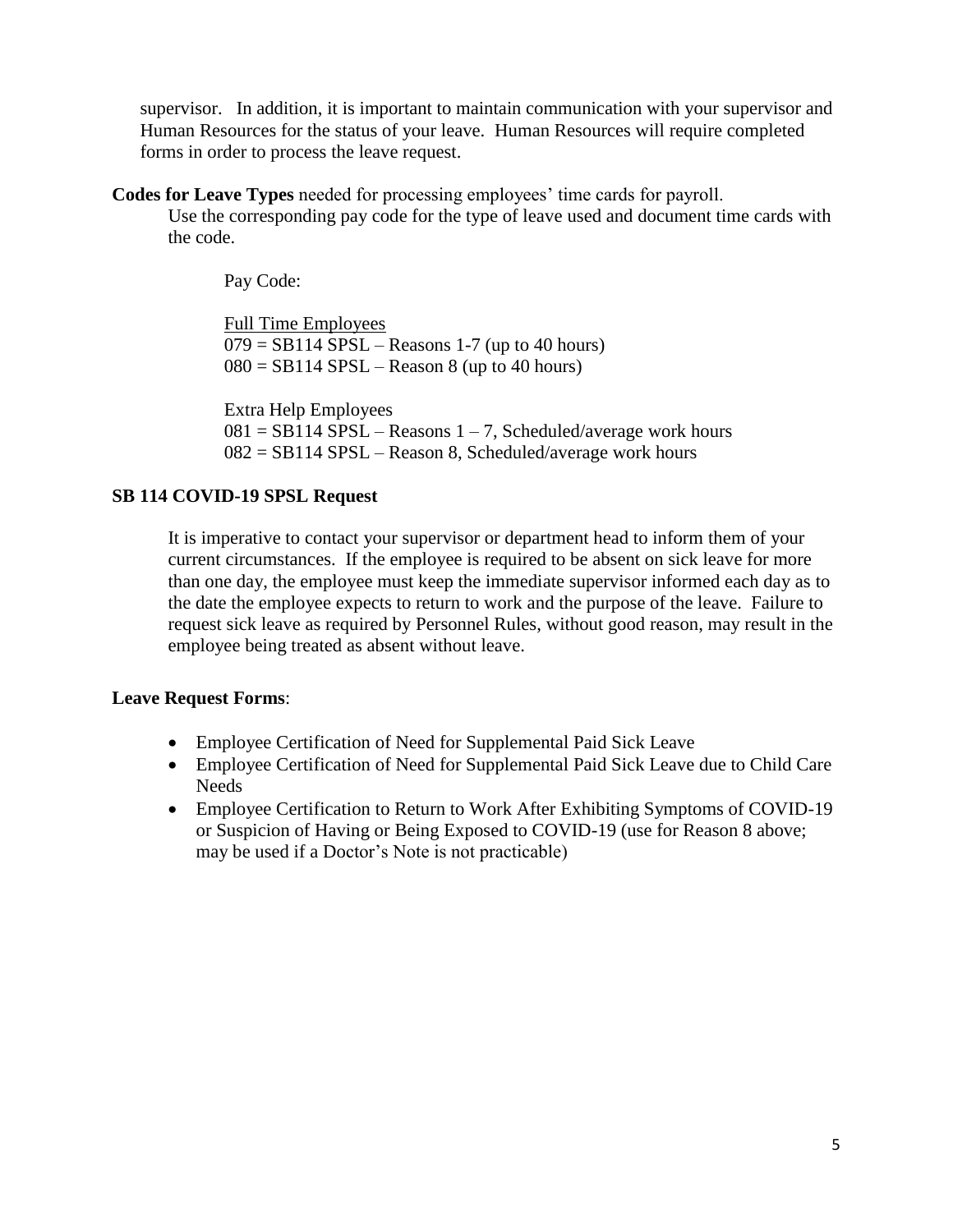supervisor. In addition, it is important to maintain communication with your supervisor and Human Resources for the status of your leave. Human Resources will require completed forms in order to process the leave request.

**Codes for Leave Types** needed for processing employees' time cards for payroll.

Use the corresponding pay code for the type of leave used and document time cards with the code.

Pay Code:

Full Time Employees  $079 = SB114$  SPSL – Reasons 1-7 (up to 40 hours)  $080 = SB114$  SPSL – Reason 8 (up to 40 hours)

Extra Help Employees  $081 = SB114 SPSL - Reasons 1 - 7$ , Scheduled/average work hours 082 = SB114 SPSL – Reason 8, Scheduled/average work hours

## **SB 114 COVID-19 SPSL Request**

It is imperative to contact your supervisor or department head to inform them of your current circumstances. If the employee is required to be absent on sick leave for more than one day, the employee must keep the immediate supervisor informed each day as to the date the employee expects to return to work and the purpose of the leave. Failure to request sick leave as required by Personnel Rules, without good reason, may result in the employee being treated as absent without leave.

## **Leave Request Forms**:

- Employee Certification of Need for Supplemental Paid Sick Leave
- Employee Certification of Need for Supplemental Paid Sick Leave due to Child Care Needs
- Employee Certification to Return to Work After Exhibiting Symptoms of COVID-19 or Suspicion of Having or Being Exposed to COVID-19 (use for Reason 8 above; may be used if a Doctor's Note is not practicable)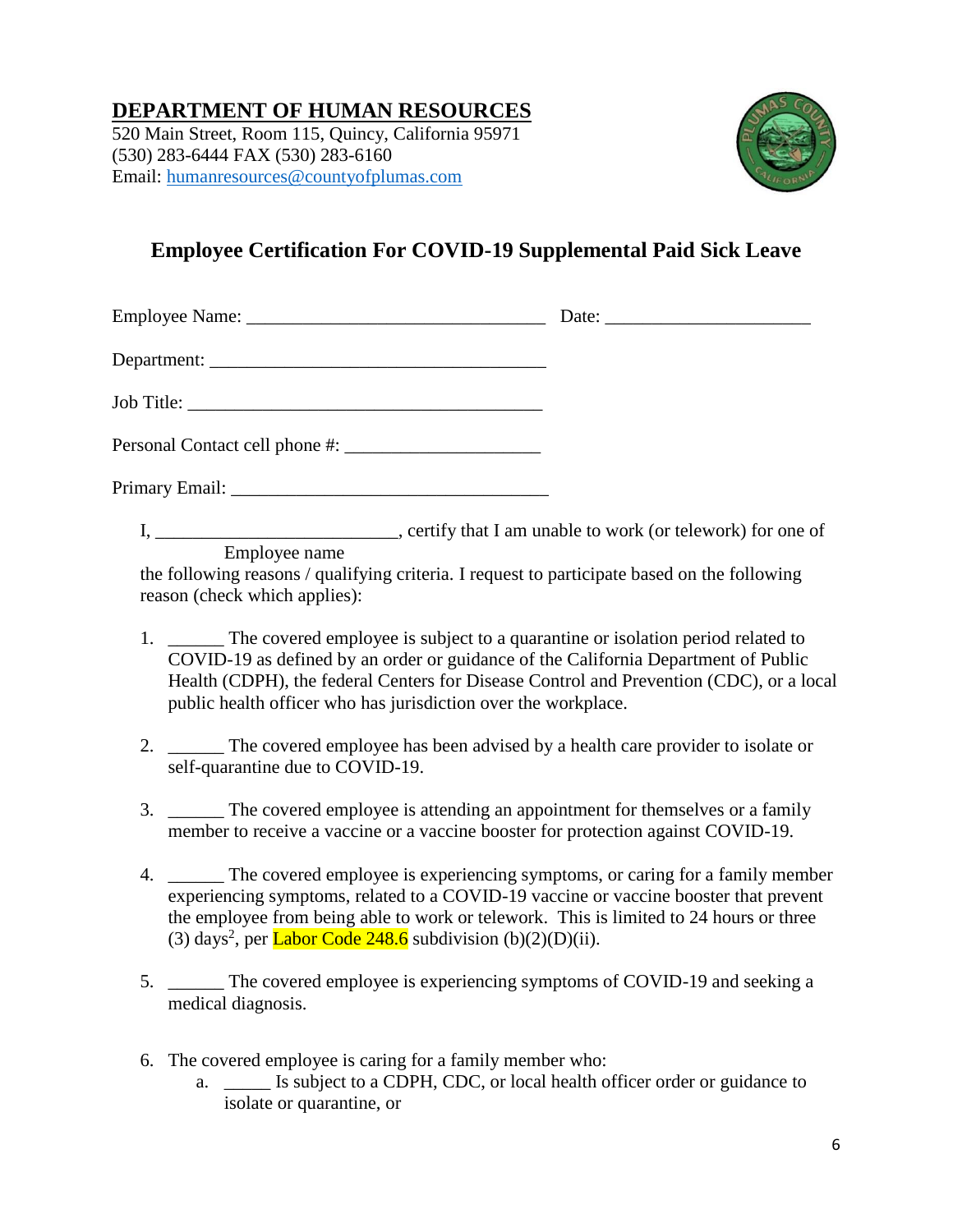# **DEPARTMENT OF HUMAN RESOURCES**

520 Main Street, Room 115, Quincy, California 95971 (530) 283-6444 FAX (530) 283-6160 Email: [humanresources@countyofplumas.com](mailto:humanresources@countyofplumas.com)



# **Employee Certification For COVID-19 Supplemental Paid Sick Leave**

Employee Name: \_\_\_\_\_\_\_\_\_\_\_\_\_\_\_\_\_\_\_\_\_\_\_\_\_\_\_\_\_\_\_\_ Date: \_\_\_\_\_\_\_\_\_\_\_\_\_\_\_\_\_\_\_\_\_\_

Department: \_\_\_\_\_\_\_\_\_\_\_\_\_\_\_\_\_\_\_\_\_\_\_\_\_\_\_\_\_\_\_\_\_\_\_\_

Job Title:

Personal Contact cell phone #:

Primary Email: \_\_\_\_\_\_\_\_\_\_\_\_\_\_\_\_\_\_\_\_\_\_\_\_\_\_\_\_\_\_\_\_\_\_

I, \_\_\_\_\_\_\_\_\_\_\_\_\_\_\_\_\_\_\_\_\_\_\_\_\_\_\_, certify that I am unable to work (or telework) for one of Employee name

the following reasons / qualifying criteria. I request to participate based on the following reason (check which applies):

- 1. \_\_\_\_\_\_ The covered employee is subject to a quarantine or isolation period related to COVID-19 as defined by an order or guidance of the California Department of Public Health (CDPH), the federal Centers for Disease Control and Prevention (CDC), or a local public health officer who has jurisdiction over the workplace.
- 2. The covered employee has been advised by a health care provider to isolate or self-quarantine due to COVID-19.
- 3. \_\_\_\_\_\_ The covered employee is attending an appointment for themselves or a family member to receive a vaccine or a vaccine booster for protection against COVID-19.
- 4. The covered employee is experiencing symptoms, or caring for a family member experiencing symptoms, related to a COVID-19 vaccine or vaccine booster that prevent the employee from being able to work or telework. This is limited to 24 hours or three (3) days<sup>2</sup>, per  $\underline{\text{ Labor Code 248.6}}$  subdivision (b)(2)(D)(ii).
- 5. \_\_\_\_\_\_ The covered employee is experiencing symptoms of COVID-19 and seeking a medical diagnosis.
- 6. The covered employee is caring for a family member who:
	- a. \_\_\_\_\_ Is subject to a CDPH, CDC, or local health officer order or guidance to isolate or quarantine, or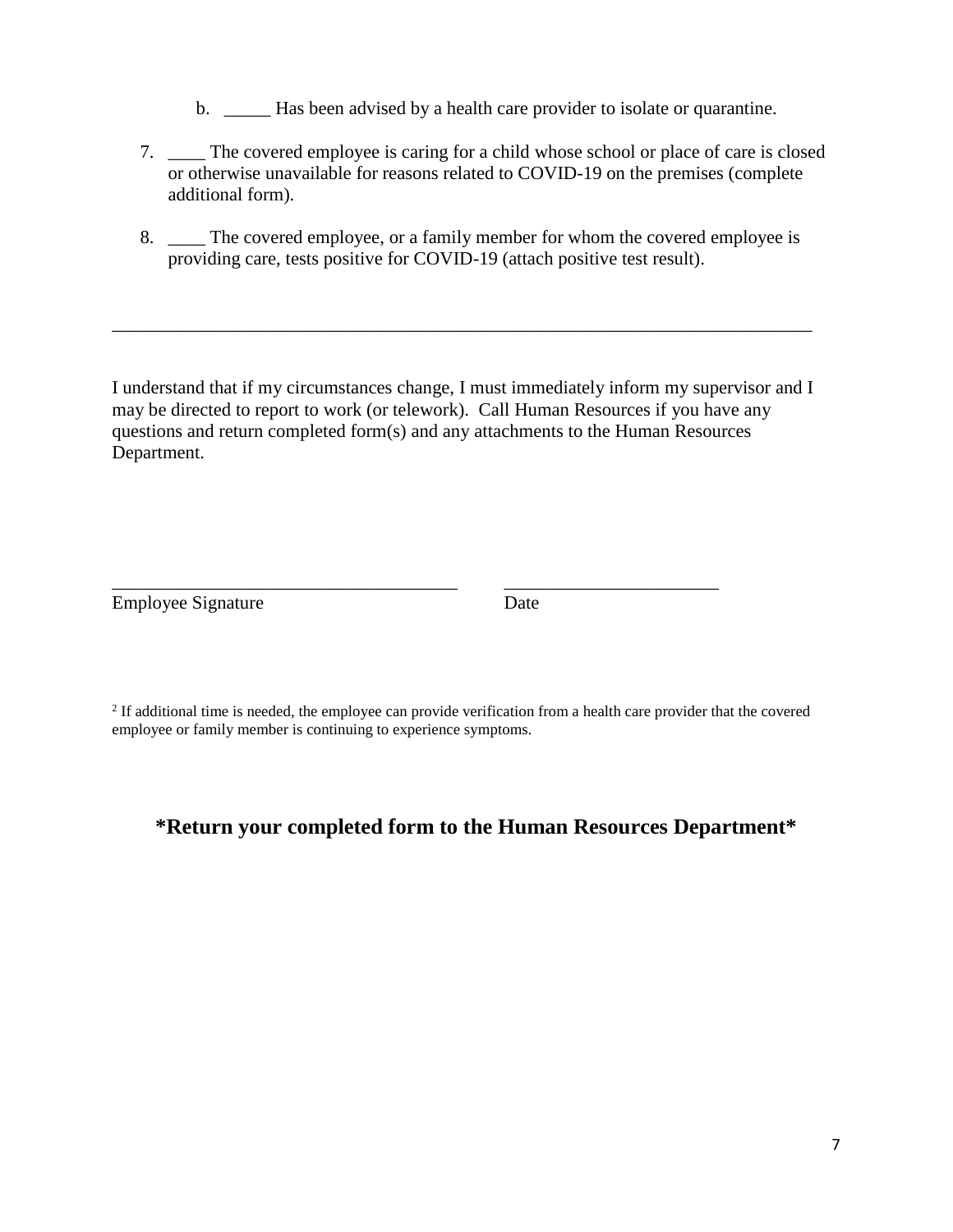b. \_\_\_\_\_\_ Has been advised by a health care provider to isolate or quarantine.

- 7. \_\_\_\_ The covered employee is caring for a child whose school or place of care is closed or otherwise unavailable for reasons related to COVID-19 on the premises (complete additional form).
- 8. \_\_\_\_ The covered employee, or a family member for whom the covered employee is providing care, tests positive for COVID-19 (attach positive test result).

I understand that if my circumstances change, I must immediately inform my supervisor and I may be directed to report to work (or telework). Call Human Resources if you have any questions and return completed form(s) and any attachments to the Human Resources Department.

\_\_\_\_\_\_\_\_\_\_\_\_\_\_\_\_\_\_\_\_\_\_\_\_\_\_\_\_\_\_\_\_\_\_\_\_\_\_\_\_\_\_\_\_\_\_\_\_\_\_\_\_\_\_\_\_\_\_\_\_\_\_\_\_\_\_\_\_\_\_\_\_\_\_\_

Employee Signature Date

 $2$  If additional time is needed, the employee can provide verification from a health care provider that the covered employee or family member is continuing to experience symptoms.

\_\_\_\_\_\_\_\_\_\_\_\_\_\_\_\_\_\_\_\_\_\_\_\_\_\_\_\_\_\_\_\_\_\_\_\_\_ \_\_\_\_\_\_\_\_\_\_\_\_\_\_\_\_\_\_\_\_\_\_\_

# **\*Return your completed form to the Human Resources Department\***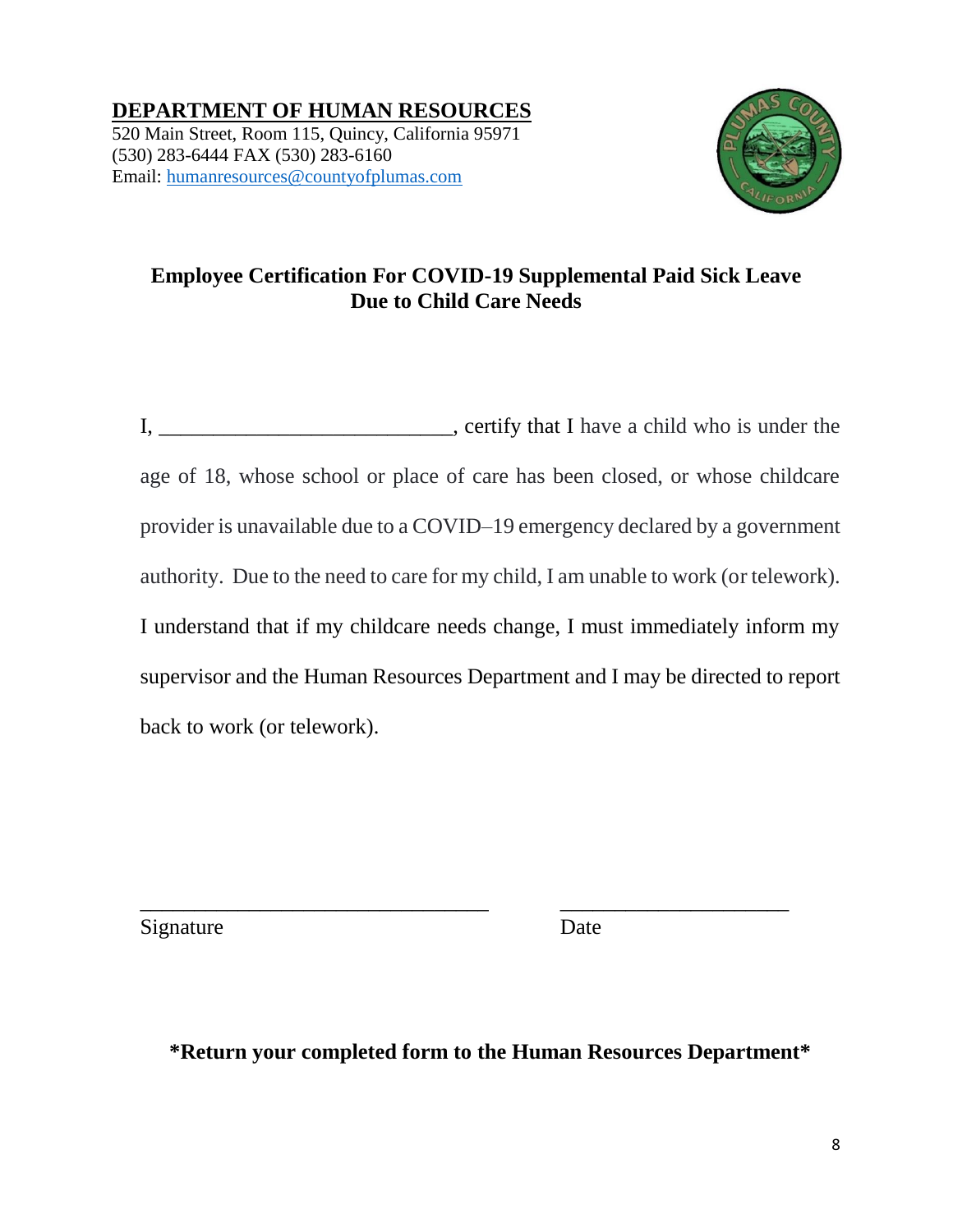**DEPARTMENT OF HUMAN RESOURCES** 520 Main Street, Room 115, Quincy, California 95971 (530) 283-6444 FAX (530) 283-6160 Email: [humanresources@countyofplumas.com](mailto:humanresources@countyofplumas.com)



# **Employee Certification For COVID-19 Supplemental Paid Sick Leave Due to Child Care Needs**

I, \_\_\_\_\_\_\_\_\_\_\_\_\_\_\_\_\_\_\_\_\_\_\_\_\_\_\_, certify that I have a child who is under the age of 18, whose school or place of care has been closed, or whose childcare provider is unavailable due to a COVID–19 emergency declared by a government authority. Due to the need to care for my child, I am unable to work (or telework). I understand that if my childcare needs change, I must immediately inform my supervisor and the Human Resources Department and I may be directed to report back to work (or telework).

Signature Date

**\*Return your completed form to the Human Resources Department\***

\_\_\_\_\_\_\_\_\_\_\_\_\_\_\_\_\_\_\_\_\_\_\_\_\_\_\_\_\_\_\_\_ \_\_\_\_\_\_\_\_\_\_\_\_\_\_\_\_\_\_\_\_\_